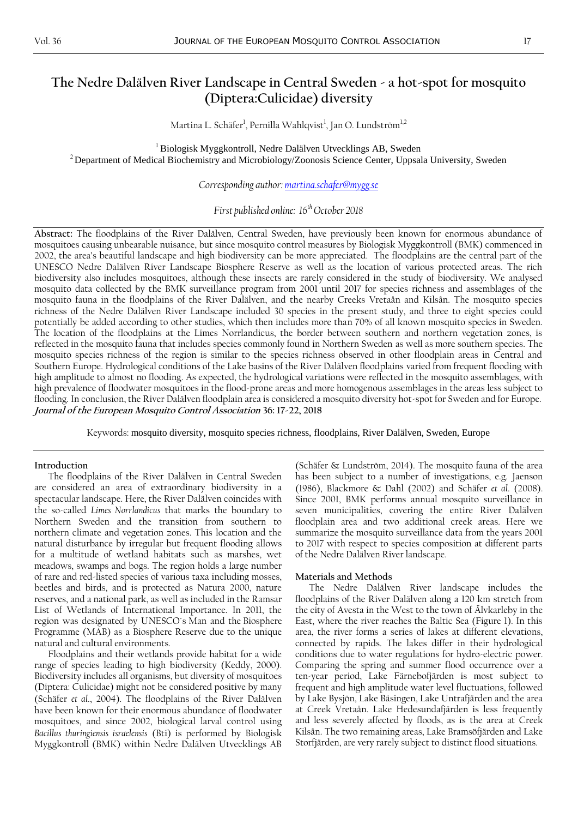Martina L. Schäfer<sup>1</sup>, Pernilla Wahlqvist<sup>1</sup>, Jan O. Lundström<sup>1,2</sup>

<sup>1</sup> Biologisk Myggkontroll, Nedre Dalälven Utvecklings AB, Sweden <sup>2</sup> Department of Medical Biochemistry and Microbiology/Zoonosis Science Center, Uppsala University, Sweden

*Corresponding author[: martina.schafer@mygg.se](mailto:martina.schafer@mygg.se)*

*First published online: 16th October 2018*

**Abstract:** The floodplains of the River Dalälven, Central Sweden, have previously been known for enormous abundance of mosquitoes causing unbearable nuisance, but since mosquito control measures by Biologisk Myggkontroll (BMK) commenced in 2002, the area's beautiful landscape and high biodiversity can be more appreciated. The floodplains are the central part of the UNESCO Nedre Dalälven River Landscape Biosphere Reserve as well as the location of various protected areas. The rich biodiversity also includes mosquitoes, although these insects are rarely considered in the study of biodiversity. We analysed mosquito data collected by the BMK surveillance program from 2001 until 2017 for species richness and assemblages of the mosquito fauna in the floodplains of the River Dalälven, and the nearby Creeks Vretaån and Kilsån. The mosquito species richness of the Nedre Dalälven River Landscape included 30 species in the present study, and three to eight species could potentially be added according to other studies, which then includes more than 70% of all known mosquito species in Sweden. The location of the floodplains at the Limes Norrlandicus, the border between southern and northern vegetation zones, is reflected in the mosquito fauna that includes species commonly found in Northern Sweden as well as more southern species. The mosquito species richness of the region is similar to the species richness observed in other floodplain areas in Central and Southern Europe. Hydrological conditions of the Lake basins of the River Dalälven floodplains varied from frequent flooding with high amplitude to almost no flooding. As expected, the hydrological variations were reflected in the mosquito assemblages, with high prevalence of floodwater mosquitoes in the flood-prone areas and more homogenous assemblages in the areas less subject to flooding. In conclusion, the River Dalälven floodplain area is considered a mosquito diversity hot-spot for Sweden and for Europe. **Journal of the European Mosquito Control Association 36: 17-22, 2018**

Keywords: mosquito diversity, mosquito species richness, floodplains, River Dalälven, Sweden, Europe

# **Introduction**

The floodplains of the River Dalälven in Central Sweden are considered an area of extraordinary biodiversity in a spectacular landscape. Here, the River Dalälven coincides with the so-called *Limes Norrlandicus* that marks the boundary to Northern Sweden and the transition from southern to northern climate and vegetation zones. This location and the natural disturbance by irregular but frequent flooding allows for a multitude of wetland habitats such as marshes, wet meadows, swamps and bogs. The region holds a large number of rare and red-listed species of various taxa including mosses, beetles and birds, and is protected as Natura 2000, nature reserves, and a national park, as well as included in the Ramsar List of Wetlands of International Importance. In 2011, the region was designated by UNESCO´s Man and the Biosphere Programme (MAB) as a Biosphere Reserve due to the unique natural and cultural environments.

Floodplains and their wetlands provide habitat for a wide range of species leading to high biodiversity (Keddy, 2000). Biodiversity includes all organisms, but diversity of mosquitoes (Diptera: Culicidae) might not be considered positive by many (Schäfer *et al*., 2004). The floodplains of the River Dalälven have been known for their enormous abundance of floodwater mosquitoes, and since 2002, biological larval control using *Bacillus thuringiensis israelensis* (Bti) is performed by Biologisk Myggkontroll (BMK) within Nedre Dalälven Utvecklings AB

(Schäfer & Lundström, 2014). The mosquito fauna of the area has been subject to a number of investigations, e.g. Jaenson (1986), Blackmore & Dahl (2002) and Schäfer *et al*. (2008). Since 2001, BMK performs annual mosquito surveillance in seven municipalities, covering the entire River Dalälven floodplain area and two additional creek areas. Here we summarize the mosquito surveillance data from the years 2001 to 2017 with respect to species composition at different parts of the Nedre Dalälven River landscape.

#### **Materials and Methods**

The Nedre Dalälven River landscape includes the floodplains of the River Dalälven along a 120 km stretch from the city of Avesta in the West to the town of Älvkarleby in the East, where the river reaches the Baltic Sea (Figure 1). In this area, the river forms a series of lakes at different elevations, connected by rapids. The lakes differ in their hydrological conditions due to water regulations for hydro-electric power. Comparing the spring and summer flood occurrence over a ten-year period, Lake Färnebofjärden is most subject to frequent and high amplitude water level fluctuations, followed by Lake Bysjön, Lake Bäsingen, Lake Untrafjärden and the area at Creek Vretaån. Lake Hedesundafjärden is less frequently and less severely affected by floods, as is the area at Creek Kilsån. The two remaining areas, Lake Bramsöfjärden and Lake Storfjärden, are very rarely subject to distinct flood situations.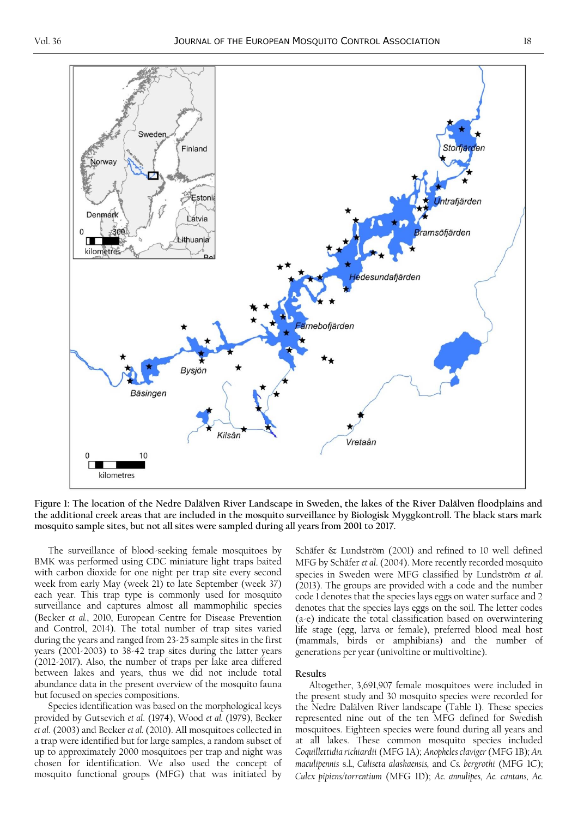

**Figure 1: The location of the Nedre Dalälven River Landscape in Sweden, the lakes of the River Dalälven floodplains and the additional creek areas that are included in the mosquito surveillance by Biologisk Myggkontroll. The black stars mark mosquito sample sites, but not all sites were sampled during all years from 2001 to 2017.**

The surveillance of blood-seeking female mosquitoes by BMK was performed using CDC miniature light traps baited with carbon dioxide for one night per trap site every second week from early May (week 21) to late September (week 37) each year. This trap type is commonly used for mosquito surveillance and captures almost all mammophilic species (Becker *et al.*, 2010, European Centre for Disease Prevention and Control, 2014). The total number of trap sites varied during the years and ranged from 23-25 sample sites in the first years (2001-2003) to 38-42 trap sites during the latter years (2012-2017). Also, the number of traps per lake area differed between lakes and years, thus we did not include total abundance data in the present overview of the mosquito fauna but focused on species compositions.

Species identification was based on the morphological keys provided by Gutsevich *et al*. (1974), Wood *et al.* (1979), Becker *et al*. (2003) and Becker *et al.* (2010). All mosquitoes collected in a trap were identified but for large samples, a random subset of up to approximately 2000 mosquitoes per trap and night was chosen for identification. We also used the concept of mosquito functional groups (MFG) that was initiated by Schäfer & Lundström (2001) and refined to 10 well defined MFG by Schäfer *et al*. (2004). More recently recorded mosquito species in Sweden were MFG classified by Lundström *et al*. (2013). The groups are provided with a code and the number code 1 denotes that the species lays eggs on water surface and 2 denotes that the species lays eggs on the soil. The letter codes (a-e) indicate the total classification based on overwintering life stage (egg, larva or female), preferred blood meal host (mammals, birds or amphibians) and the number of generations per year (univoltine or multivoltine).

# **Results**

Altogether, 3,691,907 female mosquitoes were included in the present study and 30 mosquito species were recorded for the Nedre Dalälven River landscape (Table 1). These species represented nine out of the ten MFG defined for Swedish mosquitoes. Eighteen species were found during all years and at all lakes. These common mosquito species included *Coquillettidia richiardii* (MFG 1A); *Anopheles claviger* (MFG 1B)*; An. maculipennis* s.l*., Culiseta alaskaensis,* and *Cs. bergrothi* (MFG 1C); *Culex pipiens/torrentium* (MFG 1D); *Ae. annulipes, Ae. cantans, Ae.*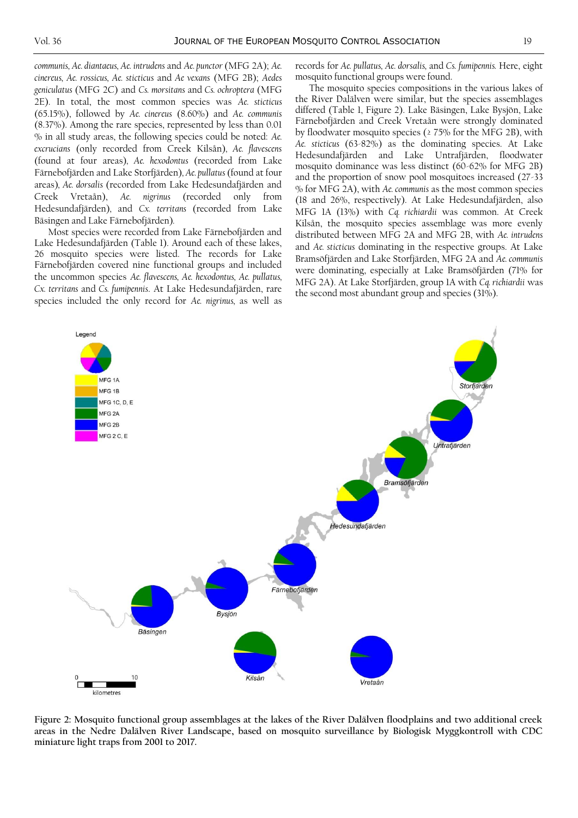*communis, Ae. diantaeus, Ae. intrudens* and *Ae. punctor* (MFG 2A); *Ae. cinereus, Ae. rossicus, Ae. sticticus* and *Ae vexans* (MFG 2B); *Aedes geniculatus* (MFG 2C) and *Cs. morsitans* and *Cs. ochroptera* (MFG 2E). In total, the most common species was *Ae. sticticus*  (65.15%), followed by *Ae. cinereus* (8.60%) and *Ae. communis*  (8.37%). Among the rare species, represented by less than 0.01 % in all study areas, the following species could be noted: *Ae. excrucians* (only recorded from Creek Kilsån)*, Ae. flavescens*  (found at four areas)*, Ae. hexodontus* (recorded from Lake Färnebofjärden and Lake Storfjärden)*, Ae. pullatus* (found at four areas)*, Ae. dorsalis* (recorded from Lake Hedesundafjärden and Creek Vretaån), *Ae. nigrinus* (recorded only from Hedesundafjärden)*,* and *Cx. territans* (recorded from Lake Bäsingen and Lake Färnebofjärden)*.* 

Most species were recorded from Lake Färnebofjärden and Lake Hedesundafjärden (Table 1). Around each of these lakes, 26 mosquito species were listed. The records for Lake Färnebofjärden covered nine functional groups and included the uncommon species *Ae. flavescens, Ae. hexodontus, Ae. pullatus, Cx. territans* and *Cs. fumipennis*. At Lake Hedesundafjärden, rare species included the only record for *Ae. nigrinus,* as well as records for *Ae. pullatus, Ae. dorsalis,* and *Cs. fumipennis.* Here, eight mosquito functional groups were found.

The mosquito species compositions in the various lakes of the River Dalälven were similar, but the species assemblages differed (Table 1, Figure 2). Lake Bäsingen, Lake Bysjön, Lake Färnebofjärden and Creek Vretaån were strongly dominated by floodwater mosquito species (≥ 75% for the MFG 2B), with *Ae. sticticus* (63-82%) as the dominating species. At Lake Hedesundafjärden and Lake Untrafjärden, floodwater mosquito dominance was less distinct (60-62% for MFG 2B) and the proportion of snow pool mosquitoes increased (27-33 % for MFG 2A), with *Ae. communis* as the most common species (18 and 26%, respectively). At Lake Hedesundafjärden, also MFG 1A (13%) with *Cq. richiardii* was common. At Creek Kilsån, the mosquito species assemblage was more evenly distributed between MFG 2A and MFG 2B, with *Ae. intrudens*  and *Ae. sticticus* dominating in the respective groups. At Lake Bramsöfjärden and Lake Storfjärden, MFG 2A and *Ae. communis* were dominating, especially at Lake Bramsöfjärden (71% for MFG 2A). At Lake Storfjärden, group 1A with *Cq. richiardii* was the second most abundant group and species (31%).



**Figure 2: Mosquito functional group assemblages at the lakes of the River Dalälven floodplains and two additional creek areas in the Nedre Dalälven River Landscape, based on mosquito surveillance by Biologisk Myggkontroll with CDC miniature light traps from 2001 to 2017.**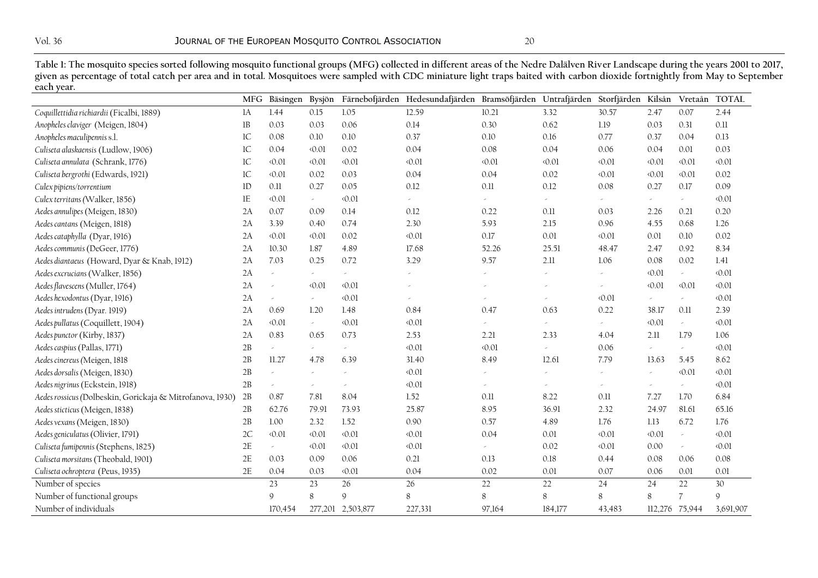**Table 1: The mosquito species sorted following mosquito functional groups (MFG) collected in different areas of the Nedre Dalälven River Landscape during the years 2001 to 2017,**  given as percentage of total catch per area and in total. Mosquitoes were sampled with CDC miniature light traps baited with carbon dioxide fortnightly from May to September **each year.** 

|                                                           |               | MFG Bäsingen        |            |                          | Bysjön Färnebofjärden Hedesundafjärden Bramsöfjärden Untrafjärden Storfjärden Kilsån Vretaån TOTAL |          |          |                |                |                  |                |
|-----------------------------------------------------------|---------------|---------------------|------------|--------------------------|----------------------------------------------------------------------------------------------------|----------|----------|----------------|----------------|------------------|----------------|
| Coquillettidia richiardii (Ficalbi, 1889)                 | 1A            | 1.44                | 0.15       | 1.05                     | 12.59                                                                                              | 10.21    | 3.32     | 30.57          | 2.47           | 0.07             | 2.44           |
| Anopheles claviger (Meigen, 1804)                         | $_{\rm 1B}$   | 0.03                | 0.03       | 0.06                     | 0.14                                                                                               | 0.30     | 0.62     | 1.19           | 0.03           | 0.31             | 0.11           |
| Anopheles maculipennis s.l.                               | $1\mathrm{C}$ | 0.08                | 0.10       | 0.10                     | 0.37                                                                                               | 0.10     | 0.16     | 0.77           | 0.37           | 0.04             | 0.13           |
| Culiseta alaskaensis (Ludlow, 1906)                       | $1\mathrm{C}$ | 0.04                | 0.01       | 0.02                     | 0.04                                                                                               | 0.08     | 0.04     | 0.06           | 0.04           | 0.01             | 0.03           |
| Culiseta annulata (Schrank, 1776)                         | 1C            | $\langle 0.01$      | 0.01       | $\langle 0.01$           | 0.01                                                                                               | 0.01     | 0.01     | 0.01           | $\langle 0.01$ | $\langle 0.01$   | $\langle 0.01$ |
| Culiseta bergrothi (Edwards, 1921)                        | $1\mathrm{C}$ | $\langle 0.01$      | 0.02       | 0.03                     | 0.04                                                                                               | 0.04     | 0.02     | 0.01           | $\langle 0.01$ | $\langle 0.01$   | 0.02           |
| Culex pipiens/torrentium                                  | $1\mathrm{D}$ | 0.11                | 0.27       | 0.05                     | 0.12                                                                                               | $0.11\,$ | 0.12     | 0.08           | 0.27           | 0.17             | 0.09           |
| Culex territans (Walker, 1856)                            | 1E            | $\langle 0.01$      | $\omega$   | $\langle 0.01$           | $\omega$                                                                                           | $\omega$ | $\omega$ | $\omega$       | $\omega$       | $\omega_{\rm c}$ | $\langle 0.01$ |
| Aedes annulipes (Meigen, 1830)                            | 2A            | 0.07                | 0.09       | 0.14                     | 0.12                                                                                               | 0.22     | 0.11     | 0.03           | 2.26           | 0.21             | 0.20           |
| Aedes cantans (Meigen, 1818)                              | 2A            | 3.39                | 0.40       | 0.74                     | 2.30                                                                                               | 5.93     | 2.15     | 0.96           | 4.55           | 0.68             | 1.26           |
| Aedes cataphylla (Dyar, 1916)                             | 2A            | $\langle 0.01$      | 0.01       | 0.02                     | 0.01                                                                                               | 0.17     | $0.01\,$ | 0.01           | 0.01           | 0.10             | 0.02           |
| Aedes communis (DeGeer, 1776)                             | 2A            | 10.30               | 1.87       | 4.89                     | 17.68                                                                                              | 52.26    | 25.51    | 48.47          | 2.47           | 0.92             | 8.34           |
| Aedes diantaeus (Howard, Dyar & Knab, 1912)               | 2A            | 7.03                | 0.25       | 0.72                     | 3.29                                                                                               | 9.57     | 2.11     | 1.06           | 0.08           | 0.02             | 1.41           |
| Aedes excrucians (Walker, 1856)                           | 2A            | $\omega$            | $\omega$   | $\overline{\phantom{a}}$ | ×,                                                                                                 |          | $\omega$ | $\omega$       | $\langle 0.01$ | $\omega$         | $\langle 0.01$ |
| Aedes flavescens (Muller, 1764)                           | 2A            | ù,                  | 0.01       | $\langle 0.01$           |                                                                                                    |          |          | $\omega$       | 0.01           | $\langle 0.01$   | $\langle 0.01$ |
| Aedes hexodontus (Dyar, 1916)                             | 2A            | $\omega$            | $\omega$   | $\langle 0.01$           |                                                                                                    |          |          | $\langle 0.01$ | $\omega$       | $\omega$         | $\langle 0.01$ |
| Aedes intrudens (Dyar. 1919)                              | 2A            | 0.69                | 1.20       | 1.48                     | 0.84                                                                                               | 0.47     | 0.63     | 0.22           | 38.17          | 0.11             | 2.39           |
| Aedes pullatus (Coquillett, 1904)                         | 2A            | $\langle 0.01$      | $\omega$ . | $\langle 0.01$           | 0.01                                                                                               |          |          | $\sim$         | $\langle 0.01$ | $\omega$         | $\langle 0.01$ |
| Aedes punctor (Kirby, 1837)                               | 2A            | 0.83                | 0.65       | 0.73                     | 2.53                                                                                               | 2.21     | 2.33     | 4.04           | 2.11           | 1.79             | 1.06           |
| Aedes caspius (Pallas, 1771)                              | 2B            | $\omega$            | $\omega$   |                          | 0.01                                                                                               | 0.01     | v.       | 0.06           | $\omega$       | $\omega$         | $\langle 0.01$ |
| Aedes cinereus (Meigen, 1818                              | 2B            | 11.27               | 4.78       | 6.39                     | 31.40                                                                                              | 8.49     | 12.61    | 7.79           | 13.63          | 5.45             | 8.62           |
| Aedes dorsalis (Meigen, 1830)                             | 2B            | ù.                  |            |                          | 0.01                                                                                               |          |          | $\omega$       | $\omega$       | $\langle 0.01$   | $\langle 0.01$ |
| Aedes nigrinus (Eckstein, 1918)                           | 2B            | $\omega$            |            |                          | 0.01                                                                                               | $\sim$   |          | $\omega$       | $\omega$       | $\omega$         | $\langle 0.01$ |
| Aedes rossicus (Dolbeskin, Gorickaja & Mitrofanova, 1930) | 2B            | 0.87                | 7.81       | 8.04                     | 1.52                                                                                               | 0.11     | 8.22     | 0.11           | 7.27           | 1.70             | 6.84           |
| Aedes sticticus (Meigen, 1838)                            | 2B            | 62.76               | 79.91      | 73.93                    | 25.87                                                                                              | 8.95     | 36.91    | 2.32           | 24.97          | 81.61            | 65.16          |
| Aedes vexans (Meigen, 1830)                               | 2B            | $1.00\,$            | 2.32       | 1.52                     | 0.90                                                                                               | 0.57     | 4.89     | 1.76           | 1.13           | 6.72             | 1.76           |
| Aedes geniculatus (Olivier, 1791)                         | 2C            | $\langle 0.01$      | 0.01       | $\langle 0.01$           | 0.01                                                                                               | 0.04     | 0.01     | 0.01           | $\langle 0.01$ | $\omega$         | $\langle 0.01$ |
| Culiseta fumipennis (Stephens, 1825)                      | 2E            | $\omega_{\rm{eff}}$ | 0.01       | $\langle 0.01$           | 0.01                                                                                               | $\omega$ | 0.02     | 0.01           | 0.00           | $\omega$         | $\langle 0.01$ |
| Culiseta morsitans (Theobald, 1901)                       | 2E            | 0.03                | 0.09       | 0.06                     | 0.21                                                                                               | 0.13     | 0.18     | 0.44           | 0.08           | 0.06             | 0.08           |
| Culiseta ochroptera (Peus, 1935)                          | 2E            | 0.04                | 0.03       | 0.01                     | 0.04                                                                                               | 0.02     | 0.01     | 0.07           | 0.06           | 0.01             | 0.01           |
| Number of species                                         |               | 23                  | 23         | 26                       | 26                                                                                                 | 22       | 22       | 24             | 24             | 22               | 30             |
| Number of functional groups                               |               | $\mathsf{Q}$        | 8          | 9                        | 8                                                                                                  | 8        | 8        | 8              | 8              | $\overline{7}$   | $\mathcal{Q}$  |
| Number of individuals                                     |               | 170,454             |            | 277,201 2,503,877        | 227,331                                                                                            | 97,164   | 184,177  | 43,483         | 112,276 75,944 |                  | 3,691,907      |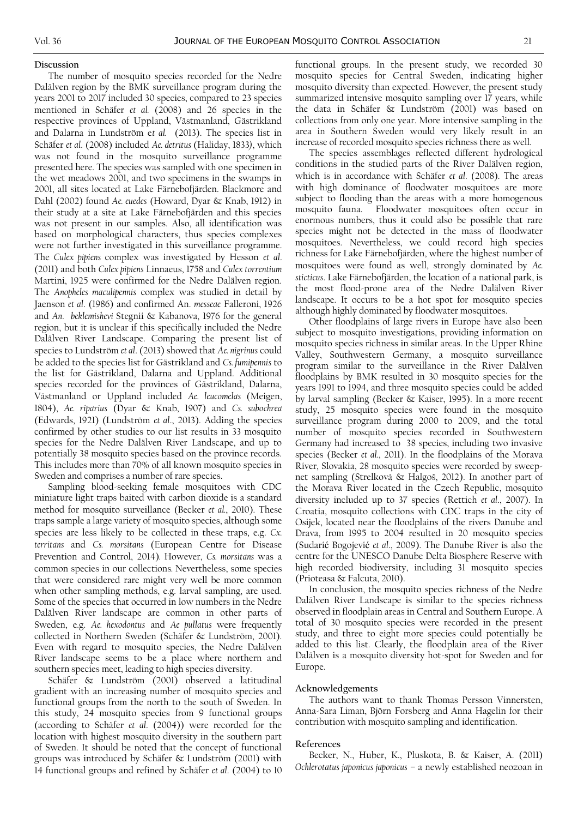### **Discussion**

The number of mosquito species recorded for the Nedre Dalälven region by the BMK surveillance program during the years 2001 to 2017 included 30 species, compared to 23 species mentioned in Schäfer *et al.* (2008) and 26 species in the respective provinces of Uppland, Västmanland, Gästrikland and Dalarna in Lundström e*t al.* (2013). The species list in Schäfer *et al*. (2008) included *Ae. detritus* (Haliday, 1833*)*, which was not found in the mosquito surveillance programme presented here. The species was sampled with one specimen in the wet meadows 2001, and two specimens in the swamps in 2001, all sites located at Lake Färnebofjärden. Blackmore and Dahl (2002) found *Ae. euedes* (Howard, Dyar & Knab, 1912) in their study at a site at Lake Färnebofjärden and this species was not present in our samples. Also, all identification was based on morphological characters, thus species complexes were not further investigated in this surveillance programme. The *Culex pipiens* complex was investigated by Hesson *et al*. (2011) and both *Culex pipiens* Linnaeus, 1758 and *Culex torrentium* Martini, 1925 were confirmed for the Nedre Dalälven region. The *Anopheles maculipennis* complex was studied in detail by Jaenson *et al*. (1986) and confirmed An. *messeae* Falleroni, 1926 and *An*. *beklemishevi* Stegnii & Kabanova, 1976 for the general region, but it is unclear if this specifically included the Nedre Dalälven River Landscape. Comparing the present list of species to Lundström *et al*. (2013) showed that *Ae. nigrinus* could be added to the species list for Gästrikland and *Cs. fumipennis* to the list for Gästrikland, Dalarna and Uppland. Additional species recorded for the provinces of Gästrikland, Dalarna, Västmanland or Uppland included *Ae. leucomelas* (Meigen, 1804), *Ae. riparius* (Dyar & Knab, 1907) and *Cs. subochrea*  (Edwards, 1921) (Lundström *et al*., 2013). Adding the species confirmed by other studies to our list results in 33 mosquito species for the Nedre Dalälven River Landscape, and up to potentially 38 mosquito species based on the province records. This includes more than 70% of all known mosquito species in Sweden and comprises a number of rare species.

Sampling blood-seeking female mosquitoes with CDC miniature light traps baited with carbon dioxide is a standard method for mosquito surveillance (Becker *et al.*, 2010). These traps sample a large variety of mosquito species, although some species are less likely to be collected in these traps, e.g. *Cx. territans* and *Cs. morsitans* (European Centre for Disease Prevention and Control, 2014)*.* However, *Cs. morsitans* was a common species in our collections*.* Nevertheless, some species that were considered rare might very well be more common when other sampling methods, e.g. larval sampling, are used. Some of the species that occurred in low numbers in the Nedre Dalälven River landscape are common in other parts of Sweden, e.g. *Ae. hexodontus* and *Ae pullatus* were frequently collected in Northern Sweden (Schäfer & Lundström, 2001). Even with regard to mosquito species, the Nedre Dalälven River landscape seems to be a place where northern and southern species meet, leading to high species diversity.

Schäfer & Lundström (2001) observed a latitudinal gradient with an increasing number of mosquito species and functional groups from the north to the south of Sweden. In this study, 24 mosquito species from 9 functional groups (according to Schäfer *et al*. (2004)) were recorded for the location with highest mosquito diversity in the southern part of Sweden. It should be noted that the concept of functional groups was introduced by Schäfer & Lundström (2001) with 14 functional groups and refined by Schäfer *et al*. (2004) to 10 functional groups. In the present study, we recorded 30 mosquito species for Central Sweden, indicating higher mosquito diversity than expected. However, the present study summarized intensive mosquito sampling over 17 years, while the data in Schäfer & Lundström (2001) was based on collections from only one year. More intensive sampling in the area in Southern Sweden would very likely result in an increase of recorded mosquito species richness there as well.

The species assemblages reflected different hydrological conditions in the studied parts of the River Dalälven region, which is in accordance with Schäfer *et al*. (2008). The areas with high dominance of floodwater mosquitoes are more subject to flooding than the areas with a more homogenous mosquito fauna. Floodwater mosquitoes often occur in enormous numbers, thus it could also be possible that rare species might not be detected in the mass of floodwater mosquitoes. Nevertheless, we could record high species richness for Lake Färnebofjärden, where the highest number of mosquitoes were found as well, strongly dominated by *Ae. sticticus*. Lake Färnebofjärden, the location of a national park, is the most flood-prone area of the Nedre Dalälven River landscape. It occurs to be a hot spot for mosquito species although highly dominated by floodwater mosquitoes.

Other floodplains of large rivers in Europe have also been subject to mosquito investigations, providing information on mosquito species richness in similar areas. In the Upper Rhine Valley, Southwestern Germany, a mosquito surveillance program similar to the surveillance in the River Dalälven floodplains by BMK resulted in 30 mosquito species for the years 1991 to 1994, and three mosquito species could be added by larval sampling (Becker & Kaiser, 1995). In a more recent study, 25 mosquito species were found in the mosquito surveillance program during 2000 to 2009, and the total number of mosquito species recorded in Southwestern Germany had increased to 38 species, including two invasive species (Becker *et al.*, 2011). In the floodplains of the Morava River, Slovakia, 28 mosquito species were recorded by sweepnet sampling (Strelková & Halgoš, 2012). In another part of the Morava River located in the Czech Republic, mosquito diversity included up to 37 species (Rettich *et al*., 2007). In Croatia, mosquito collections with CDC traps in the city of Osijek, located near the floodplains of the rivers Danube and Drava, from 1995 to 2004 resulted in 20 mosquito species (Sudarić Bogojević *et al*., 2009). The Danube River is also the centre for the UNESCO Danube Delta Biosphere Reserve with high recorded biodiversity, including 31 mosquito species (Prioteasa & Falcuta, 2010).

In conclusion, the mosquito species richness of the Nedre Dalälven River Landscape is similar to the species richness observed in floodplain areas in Central and Southern Europe. A total of 30 mosquito species were recorded in the present study, and three to eight more species could potentially be added to this list. Clearly, the floodplain area of the River Dalälven is a mosquito diversity hot-spot for Sweden and for Europe.

# **Acknowledgements**

The authors want to thank Thomas Persson Vinnersten, Anna-Sara Liman, Björn Forsberg and Anna Hagelin for their contribution with mosquito sampling and identification.

#### **References**

Becker, N., Huber, K., Pluskota, B. & Kaiser, A. (2011) *Ochlerotatus japonicus japonicus* – a newly established neozoan in